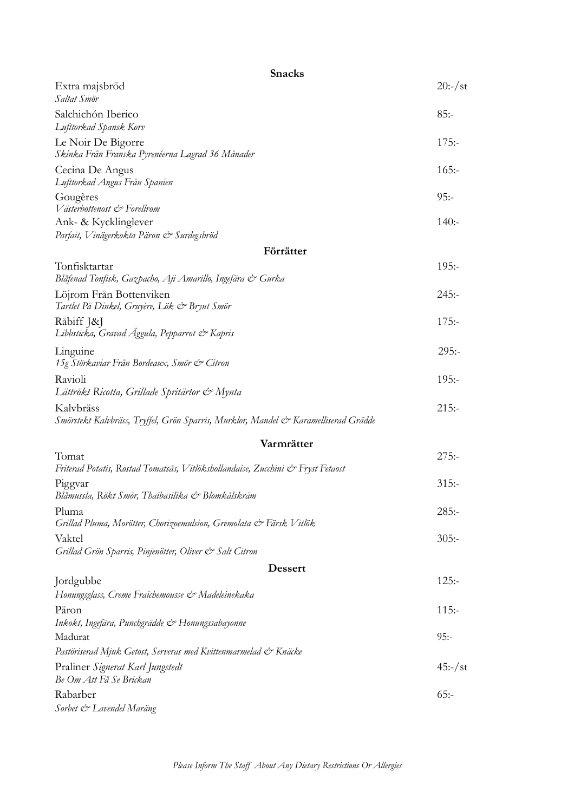| <b>Snacks</b>                                                                                    |           |
|--------------------------------------------------------------------------------------------------|-----------|
| Extra majsbröd<br>Saltat Smör                                                                    | $20:-/st$ |
| Salchichón Iberico<br>Lufttorkad Spansk Korv                                                     | $85: -$   |
| Le Noir De Bigorre<br>Skinka Från Franska Pyrenéerna Lagrad 36 Månader                           | $175: -$  |
| Cecina De Angus<br>Lufttorkad Angus Från Spanien                                                 | $165: -$  |
| Gougères<br>Västerbottenost & Forellrom                                                          | $95: -$   |
| Ank- & Kycklinglever<br>Parfait, Vinägerkokta Päron & Surdegsbröd                                | $140: -$  |
| Förrätter                                                                                        |           |
| Tonfisktartar<br>Blåfenad Tonfisk, Gazpacho, Aji Amarillo, Ingefära & Gurka                      | $195: -$  |
| Löjrom Från Bottenviken<br>Tartlet På Dinkel, Gruyère, Lök & Brynt Smör                          | $245: -$  |
| Råbiff J&J<br>Libbsticka, Gravad Äggula, Pepparrot & Kapris                                      | $175: -$  |
| Linguine<br>15g Störkaviar Från Bordeaux, Smör & Citron                                          | $295: -$  |
| Ravioli<br>Lättrökt Ricotta, Grillade Spritärtor & Mynta                                         | $195: -$  |
| Kalvbräss<br>Smörstekt Kalvbräss, Tryffel, Grön Sparris, Murklor, Mandel & Karamelliserad Grädde | $215: -$  |
| Varmrätter                                                                                       |           |
| Tomat<br>Friterad Potatis, Rostad Tomatsås, Vitlökshollandaise, Zucchini & Fryst Fetaost         | $275: -$  |
| Piggvar<br>Blåmussla, Rökt Smör, Thaibasilika & Blomkålskräm                                     | $315: -$  |
| Pluma<br>Grillad Pluma, Morötter, Chorizoemulsion, Gremolata & Färsk Vitlök                      | $285: -$  |
| Vaktel<br>Grillad Grön Sparris, Pinjenötter, Oliver & Salt Citron                                | 305:      |
| <b>Dessert</b>                                                                                   |           |
| Jordgubbe<br>Honungsglass, Creme Fraichemousse & Madeleinekaka                                   | $125: -$  |
| Päron<br>Inkokt, Ingefära, Punchgrädde & Honungssabayonne                                        | $115: -$  |
| Madurat                                                                                          | $95: -$   |
| Pastöriserad Mjuk Getost, Serveras med Kvittenmarmelad & Knäcke                                  |           |
| Praliner Signerat Karl Jungstedt<br>Be Om Att Få Se Brickan                                      | $45:-/st$ |
| Rabarber<br>Sorbet & Lavendel Maräng                                                             | $65: -$   |